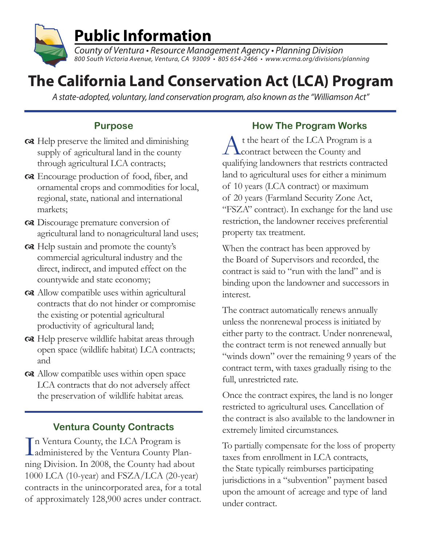

County of Ventura • Resource Management Agency • Planning Division 800 South Victoria Avenue, Ventura, CA 93009 • 805 654-2466 • www.vcrma.org/divisions/planning

# **The California Land Conservation Act (LCA) Program**

A state-adopted, voluntary, land conservation program, also known as the "Williamson Act"

### **Purpose**

- $\alpha$  Help preserve the limited and diminishing supply of agricultural land in the county through agricultural LCA contracts;
- order Encourage production of food, fiber, and ornamental crops and commodities for local, regional, state, national and international markets;
- Discourage premature conversion of agricultural land to nonagricultural land uses;
- $\alpha$  Help sustain and promote the county's commercial agricultural industry and the direct, indirect, and imputed effect on the countywide and state economy;
- Allow compatible uses within agricultural contracts that do not hinder or compromise the existing or potential agricultural productivity of agricultural land;
- $\alpha$  Help preserve wildlife habitat areas through open space (wildlife habitat) LCA contracts; and
- Allow compatible uses within open space LCA contracts that do not adversely affect the preservation of wildlife habitat areas.

#### **Ventura County Contracts**

In Ventura County, the LCA Program is<br>administered by the Ventura County Plann Ventura County, the LCA Program is ning Division. In 2008, the County had about 1000 LCA (10-year) and FSZA/LCA (20-year) contracts in the unincorporated area, for a total of approximately 128,900 acres under contract.

#### **How The Program Works**

At the heart of the LCA Program is a contract between the County and qualifying landowners that restricts contracted land to agricultural uses for either a minimum of 10 years (LCA contract) or maximum of 20 years (Farmland Security Zone Act, "FSZA" contract). In exchange for the land use restriction, the landowner receives preferential property tax treatment.

When the contract has been approved by the Board of Supervisors and recorded, the contract is said to "run with the land" and is binding upon the landowner and successors in interest.

The contract automatically renews annually unless the nonrenewal process is initiated by either party to the contract. Under nonrenewal, the contract term is not renewed annually but "winds down" over the remaining 9 years of the contract term, with taxes gradually rising to the full, unrestricted rate.

Once the contract expires, the land is no longer restricted to agricultural uses. Cancellation of the contract is also available to the landowner in extremely limited circumstances.

To partially compensate for the loss of property taxes from enrollment in LCA contracts, the State typically reimburses participating jurisdictions in a "subvention" payment based upon the amount of acreage and type of land under contract.